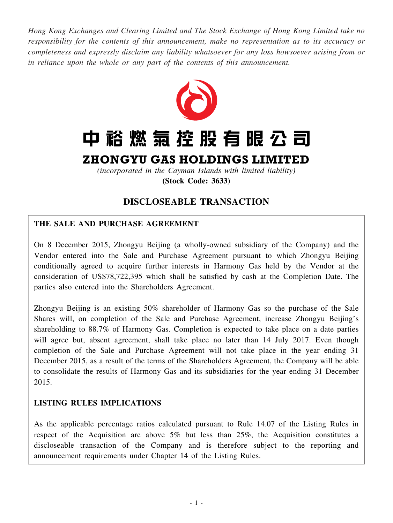*Hong Kong Exchanges and Clearing Limited and The Stock Exchange of Hong Kong Limited take no responsibility for the contents of this announcement, make no representation as to its accuracy or completeness and expressly disclaim any liability whatsoever for any loss howsoever arising from or in reliance upon the whole or any part of the contents of this announcement.*



# 中裕燃氣控股有限公司

# ZHONGYU GAS HOLDINGS LIMITED

*(incorporated in the Cayman Islands with limited liability)* **(Stock Code: 3633)**

# **DISCLOSEABLE TRANSACTION**

# **THE SALE AND PURCHASE AGREEMENT**

On 8 December 2015, Zhongyu Beijing (a wholly-owned subsidiary of the Company) and the Vendor entered into the Sale and Purchase Agreement pursuant to which Zhongyu Beijing conditionally agreed to acquire further interests in Harmony Gas held by the Vendor at the consideration of US\$78,722,395 which shall be satisfied by cash at the Completion Date. The parties also entered into the Shareholders Agreement.

Zhongyu Beijing is an existing 50% shareholder of Harmony Gas so the purchase of the Sale Shares will, on completion of the Sale and Purchase Agreement, increase Zhongyu Beijing's shareholding to 88.7% of Harmony Gas. Completion is expected to take place on a date parties will agree but, absent agreement, shall take place no later than 14 July 2017. Even though completion of the Sale and Purchase Agreement will not take place in the year ending 31 December 2015, as a result of the terms of the Shareholders Agreement, the Company will be able to consolidate the results of Harmony Gas and its subsidiaries for the year ending 31 December 2015.

# **LISTING RULES IMPLICATIONS**

As the applicable percentage ratios calculated pursuant to Rule 14.07 of the Listing Rules in respect of the Acquisition are above 5% but less than 25%, the Acquisition constitutes a discloseable transaction of the Company and is therefore subject to the reporting and announcement requirements under Chapter 14 of the Listing Rules.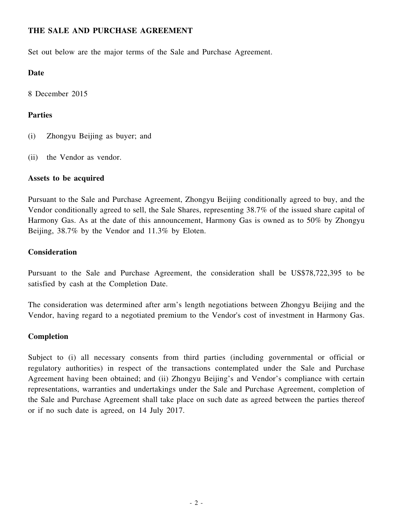# **THE SALE AND PURCHASE AGREEMENT**

Set out below are the major terms of the Sale and Purchase Agreement.

#### **Date**

8 December 2015

# **Parties**

- (i) Zhongyu Beijing as buyer; and
- (ii) the Vendor as vendor.

#### **Assets to be acquired**

Pursuant to the Sale and Purchase Agreement, Zhongyu Beijing conditionally agreed to buy, and the Vendor conditionally agreed to sell, the Sale Shares, representing 38.7% of the issued share capital of Harmony Gas. As at the date of this announcement, Harmony Gas is owned as to 50% by Zhongyu Beijing, 38.7% by the Vendor and 11.3% by Eloten.

#### **Consideration**

Pursuant to the Sale and Purchase Agreement, the consideration shall be US\$78,722,395 to be satisfied by cash at the Completion Date.

The consideration was determined after arm's length negotiations between Zhongyu Beijing and the Vendor, having regard to a negotiated premium to the Vendor's cost of investment in Harmony Gas.

# **Completion**

Subject to (i) all necessary consents from third parties (including governmental or official or regulatory authorities) in respect of the transactions contemplated under the Sale and Purchase Agreement having been obtained; and (ii) Zhongyu Beijing's and Vendor's compliance with certain representations, warranties and undertakings under the Sale and Purchase Agreement, completion of the Sale and Purchase Agreement shall take place on such date as agreed between the parties thereof or if no such date is agreed, on 14 July 2017.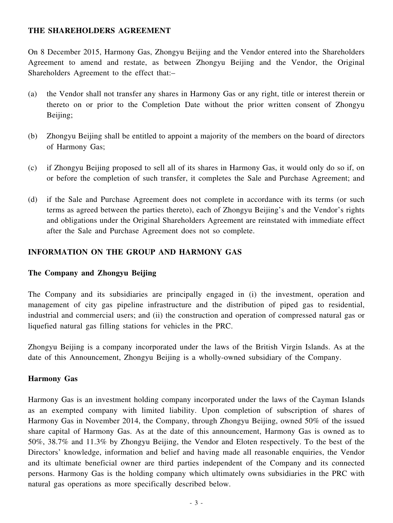### **THE SHAREHOLDERS AGREEMENT**

On 8 December 2015, Harmony Gas, Zhongyu Beijing and the Vendor entered into the Shareholders Agreement to amend and restate, as between Zhongyu Beijing and the Vendor, the Original Shareholders Agreement to the effect that:–

- (a) the Vendor shall not transfer any shares in Harmony Gas or any right, title or interest therein or thereto on or prior to the Completion Date without the prior written consent of Zhongyu Beijing;
- (b) Zhongyu Beijing shall be entitled to appoint a majority of the members on the board of directors of Harmony Gas;
- (c) if Zhongyu Beijing proposed to sell all of its shares in Harmony Gas, it would only do so if, on or before the completion of such transfer, it completes the Sale and Purchase Agreement; and
- (d) if the Sale and Purchase Agreement does not complete in accordance with its terms (or such terms as agreed between the parties thereto), each of Zhongyu Beijing's and the Vendor's rights and obligations under the Original Shareholders Agreement are reinstated with immediate effect after the Sale and Purchase Agreement does not so complete.

# **INFORMATION ON THE GROUP AND HARMONY GAS**

#### **The Company and Zhongyu Beijing**

The Company and its subsidiaries are principally engaged in (i) the investment, operation and management of city gas pipeline infrastructure and the distribution of piped gas to residential, industrial and commercial users; and (ii) the construction and operation of compressed natural gas or liquefied natural gas filling stations for vehicles in the PRC.

Zhongyu Beijing is a company incorporated under the laws of the British Virgin Islands. As at the date of this Announcement, Zhongyu Beijing is a wholly-owned subsidiary of the Company.

#### **Harmony Gas**

Harmony Gas is an investment holding company incorporated under the laws of the Cayman Islands as an exempted company with limited liability. Upon completion of subscription of shares of Harmony Gas in November 2014, the Company, through Zhongyu Beijing, owned 50% of the issued share capital of Harmony Gas. As at the date of this announcement, Harmony Gas is owned as to 50%, 38.7% and 11.3% by Zhongyu Beijing, the Vendor and Eloten respectively. To the best of the Directors' knowledge, information and belief and having made all reasonable enquiries, the Vendor and its ultimate beneficial owner are third parties independent of the Company and its connected persons. Harmony Gas is the holding company which ultimately owns subsidiaries in the PRC with natural gas operations as more specifically described below.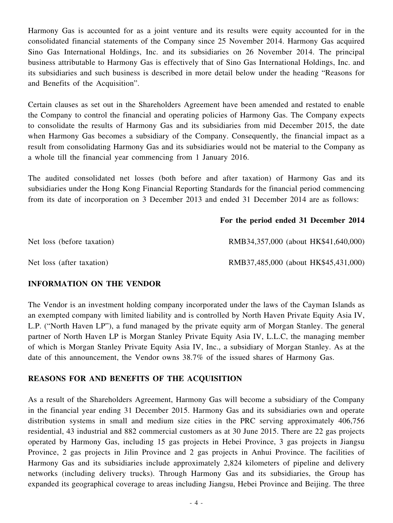Harmony Gas is accounted for as a joint venture and its results were equity accounted for in the consolidated financial statements of the Company since 25 November 2014. Harmony Gas acquired Sino Gas International Holdings, Inc. and its subsidiaries on 26 November 2014. The principal business attributable to Harmony Gas is effectively that of Sino Gas International Holdings, Inc. and its subsidiaries and such business is described in more detail below under the heading "Reasons for and Benefits of the Acquisition".

Certain clauses as set out in the Shareholders Agreement have been amended and restated to enable the Company to control the financial and operating policies of Harmony Gas. The Company expects to consolidate the results of Harmony Gas and its subsidiaries from mid December 2015, the date when Harmony Gas becomes a subsidiary of the Company. Consequently, the financial impact as a result from consolidating Harmony Gas and its subsidiaries would not be material to the Company as a whole till the financial year commencing from 1 January 2016.

The audited consolidated net losses (both before and after taxation) of Harmony Gas and its subsidiaries under the Hong Kong Financial Reporting Standards for the financial period commencing from its date of incorporation on 3 December 2013 and ended 31 December 2014 are as follows:

#### **For the period ended 31 December 2014**

| Net loss (before taxation) | RMB34,357,000 (about HK\$41,640,000) |
|----------------------------|--------------------------------------|
| Net loss (after taxation)  | RMB37,485,000 (about HK\$45,431,000) |

#### **INFORMATION ON THE VENDOR**

The Vendor is an investment holding company incorporated under the laws of the Cayman Islands as an exempted company with limited liability and is controlled by North Haven Private Equity Asia IV, L.P. ("North Haven LP"), a fund managed by the private equity arm of Morgan Stanley. The general partner of North Haven LP is Morgan Stanley Private Equity Asia IV, L.L.C, the managing member of which is Morgan Stanley Private Equity Asia IV, Inc., a subsidiary of Morgan Stanley. As at the date of this announcement, the Vendor owns 38.7% of the issued shares of Harmony Gas.

#### **REASONS FOR AND BENEFITS OF THE ACQUISITION**

As a result of the Shareholders Agreement, Harmony Gas will become a subsidiary of the Company in the financial year ending 31 December 2015. Harmony Gas and its subsidiaries own and operate distribution systems in small and medium size cities in the PRC serving approximately 406,756 residential, 43 industrial and 882 commercial customers as at 30 June 2015. There are 22 gas projects operated by Harmony Gas, including 15 gas projects in Hebei Province, 3 gas projects in Jiangsu Province, 2 gas projects in Jilin Province and 2 gas projects in Anhui Province. The facilities of Harmony Gas and its subsidiaries include approximately 2,824 kilometers of pipeline and delivery networks (including delivery trucks). Through Harmony Gas and its subsidiaries, the Group has expanded its geographical coverage to areas including Jiangsu, Hebei Province and Beijing. The three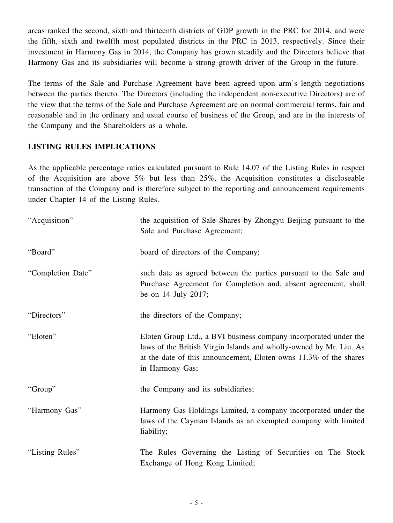areas ranked the second, sixth and thirteenth districts of GDP growth in the PRC for 2014, and were the fifth, sixth and twelfth most populated districts in the PRC in 2013, respectively. Since their investment in Harmony Gas in 2014, the Company has grown steadily and the Directors believe that Harmony Gas and its subsidiaries will become a strong growth driver of the Group in the future.

The terms of the Sale and Purchase Agreement have been agreed upon arm's length negotiations between the parties thereto. The Directors (including the independent non-executive Directors) are of the view that the terms of the Sale and Purchase Agreement are on normal commercial terms, fair and reasonable and in the ordinary and usual course of business of the Group, and are in the interests of the Company and the Shareholders as a whole.

# **LISTING RULES IMPLICATIONS**

As the applicable percentage ratios calculated pursuant to Rule 14.07 of the Listing Rules in respect of the Acquisition are above 5% but less than 25%, the Acquisition constitutes a discloseable transaction of the Company and is therefore subject to the reporting and announcement requirements under Chapter 14 of the Listing Rules.

| "Acquisition"     | the acquisition of Sale Shares by Zhongyu Beijing pursuant to the<br>Sale and Purchase Agreement;                                                                                                                              |
|-------------------|--------------------------------------------------------------------------------------------------------------------------------------------------------------------------------------------------------------------------------|
| "Board"           | board of directors of the Company;                                                                                                                                                                                             |
| "Completion Date" | such date as agreed between the parties pursuant to the Sale and<br>Purchase Agreement for Completion and, absent agreement, shall<br>be on 14 July 2017;                                                                      |
| "Directors"       | the directors of the Company;                                                                                                                                                                                                  |
| "Eloten"          | Eloten Group Ltd., a BVI business company incorporated under the<br>laws of the British Virgin Islands and wholly-owned by Mr. Liu. As<br>at the date of this announcement, Eloten owns 11.3% of the shares<br>in Harmony Gas; |
| "Group"           | the Company and its subsidiaries;                                                                                                                                                                                              |
| "Harmony Gas"     | Harmony Gas Holdings Limited, a company incorporated under the<br>laws of the Cayman Islands as an exempted company with limited<br>liability;                                                                                 |
| "Listing Rules"   | The Rules Governing the Listing of Securities on The Stock<br>Exchange of Hong Kong Limited;                                                                                                                                   |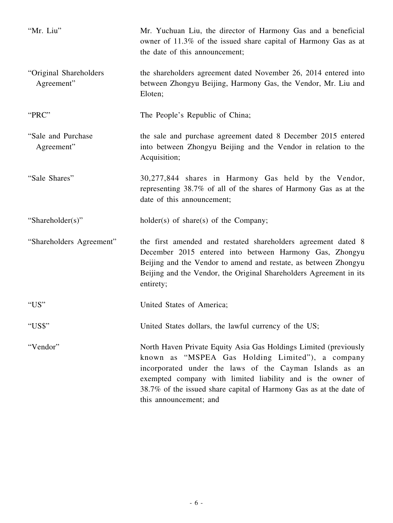| "Mr. Liu"                            | Mr. Yuchuan Liu, the director of Harmony Gas and a beneficial<br>owner of 11.3% of the issued share capital of Harmony Gas as at<br>the date of this announcement;                                                                                                                                                                             |
|--------------------------------------|------------------------------------------------------------------------------------------------------------------------------------------------------------------------------------------------------------------------------------------------------------------------------------------------------------------------------------------------|
| "Original Shareholders<br>Agreement" | the shareholders agreement dated November 26, 2014 entered into<br>between Zhongyu Beijing, Harmony Gas, the Vendor, Mr. Liu and<br>Eloten;                                                                                                                                                                                                    |
| "PRC"                                | The People's Republic of China;                                                                                                                                                                                                                                                                                                                |
| "Sale and Purchase"<br>Agreement"    | the sale and purchase agreement dated 8 December 2015 entered<br>into between Zhongyu Beijing and the Vendor in relation to the<br>Acquisition;                                                                                                                                                                                                |
| "Sale Shares"                        | 30,277,844 shares in Harmony Gas held by the Vendor,<br>representing 38.7% of all of the shares of Harmony Gas as at the<br>date of this announcement;                                                                                                                                                                                         |
| "Shareholder(s)"                     | $holder(s)$ of share(s) of the Company;                                                                                                                                                                                                                                                                                                        |
| "Shareholders Agreement"             | the first amended and restated shareholders agreement dated 8<br>December 2015 entered into between Harmony Gas, Zhongyu<br>Beijing and the Vendor to amend and restate, as between Zhongyu<br>Beijing and the Vendor, the Original Shareholders Agreement in its<br>entirety;                                                                 |
| "US"                                 | United States of America;                                                                                                                                                                                                                                                                                                                      |
| "US\$"                               | United States dollars, the lawful currency of the US;                                                                                                                                                                                                                                                                                          |
| "Vendor"                             | North Haven Private Equity Asia Gas Holdings Limited (previously<br>known as "MSPEA Gas Holding Limited"), a company<br>incorporated under the laws of the Cayman Islands as an<br>exempted company with limited liability and is the owner of<br>38.7% of the issued share capital of Harmony Gas as at the date of<br>this announcement; and |